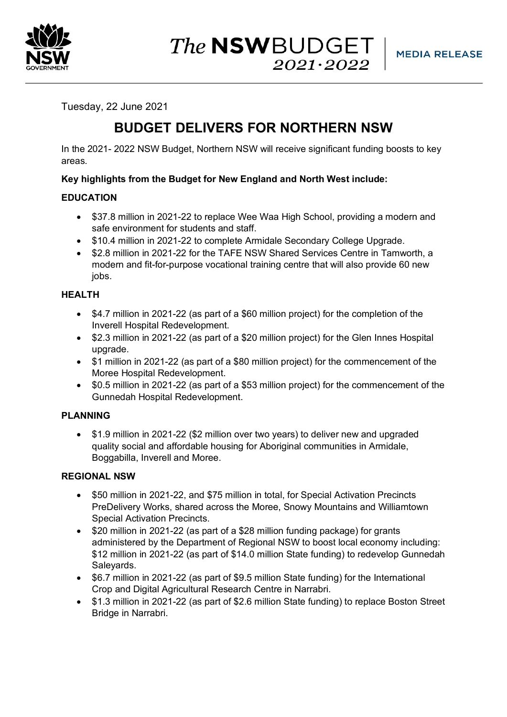

The **NSW**BUDGET  $2021 \cdot 2022$ 

Tuesday, 22 June 2021

# **BUDGET DELIVERS FOR NORTHERN NSW**

In the 2021- 2022 NSW Budget, Northern NSW will receive significant funding boosts to key areas.

# **Key highlights from the Budget for New England and North West include:**

# **EDUCATION**

- \$37.8 million in 2021-22 to replace Wee Waa High School, providing a modern and safe environment for students and staff.
- \$10.4 million in 2021-22 to complete Armidale Secondary College Upgrade.
- \$2.8 million in 2021-22 for the TAFE NSW Shared Services Centre in Tamworth, a modern and fit-for-purpose vocational training centre that will also provide 60 new jobs.

# **HEALTH**

- \$4.7 million in 2021-22 (as part of a \$60 million project) for the completion of the Inverell Hospital Redevelopment.
- \$2.3 million in 2021-22 (as part of a \$20 million project) for the Glen Innes Hospital upgrade.
- \$1 million in 2021-22 (as part of a \$80 million project) for the commencement of the Moree Hospital Redevelopment.
- \$0.5 million in 2021-22 (as part of a \$53 million project) for the commencement of the Gunnedah Hospital Redevelopment.

# **PLANNING**

• \$1.9 million in 2021-22 (\$2 million over two years) to deliver new and upgraded quality social and affordable housing for Aboriginal communities in Armidale, Boggabilla, Inverell and Moree.

# **REGIONAL NSW**

- \$50 million in 2021-22, and \$75 million in total, for Special Activation Precincts PreDelivery Works, shared across the Moree, Snowy Mountains and Williamtown Special Activation Precincts.
- \$20 million in 2021-22 (as part of a \$28 million funding package) for grants administered by the Department of Regional NSW to boost local economy including: \$12 million in 2021-22 (as part of \$14.0 million State funding) to redevelop Gunnedah Saleyards.
- \$6.7 million in 2021-22 (as part of \$9.5 million State funding) for the International Crop and Digital Agricultural Research Centre in Narrabri.
- \$1.3 million in 2021-22 (as part of \$2.6 million State funding) to replace Boston Street Bridge in Narrabri.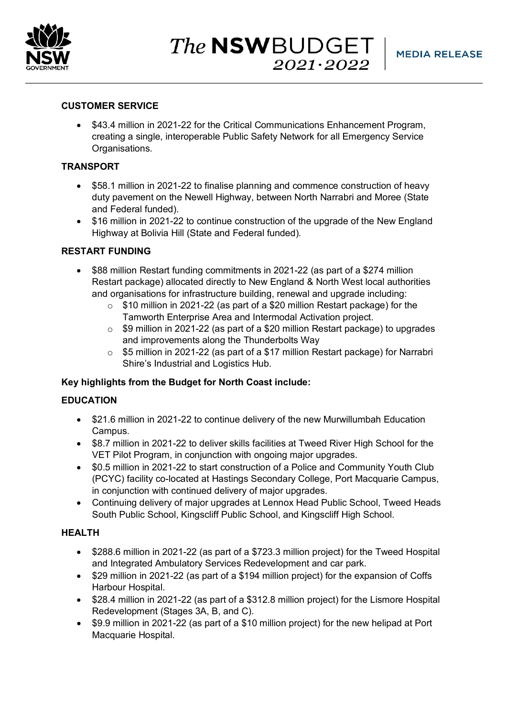

The **NSW**BUDGET  $2021 \cdot 2022$ 

## **CUSTOMER SERVICE**

• \$43.4 million in 2021-22 for the Critical Communications Enhancement Program, creating a single, interoperable Public Safety Network for all Emergency Service Organisations.

## **TRANSPORT**

- \$58.1 million in 2021-22 to finalise planning and commence construction of heavy duty pavement on the Newell Highway, between North Narrabri and Moree (State and Federal funded).
- \$16 million in 2021-22 to continue construction of the upgrade of the New England Highway at Bolivia Hill (State and Federal funded).

#### **RESTART FUNDING**

- \$88 million Restart funding commitments in 2021-22 (as part of a \$274 million Restart package) allocated directly to New England & North West local authorities and organisations for infrastructure building, renewal and upgrade including:
	- o \$10 million in 2021-22 (as part of a \$20 million Restart package) for the Tamworth Enterprise Area and Intermodal Activation project.
	- o \$9 million in 2021-22 (as part of a \$20 million Restart package) to upgrades and improvements along the Thunderbolts Way
	- o \$5 million in 2021-22 (as part of a \$17 million Restart package) for Narrabri Shire's Industrial and Logistics Hub.

#### **Key highlights from the Budget for North Coast include:**

#### **EDUCATION**

- \$21.6 million in 2021-22 to continue delivery of the new Murwillumbah Education Campus.
- \$8.7 million in 2021-22 to deliver skills facilities at Tweed River High School for the VET Pilot Program, in conjunction with ongoing major upgrades.
- \$0.5 million in 2021-22 to start construction of a Police and Community Youth Club (PCYC) facility co-located at Hastings Secondary College, Port Macquarie Campus, in conjunction with continued delivery of major upgrades.
- Continuing delivery of major upgrades at Lennox Head Public School, Tweed Heads South Public School, Kingscliff Public School, and Kingscliff High School.

#### **HEALTH**

- \$288.6 million in 2021-22 (as part of a \$723.3 million project) for the Tweed Hospital and Integrated Ambulatory Services Redevelopment and car park.
- \$29 million in 2021-22 (as part of a \$194 million project) for the expansion of Coffs Harbour Hospital.
- \$28.4 million in 2021-22 (as part of a \$312.8 million project) for the Lismore Hospital Redevelopment (Stages 3A, B, and C).
- \$9.9 million in 2021-22 (as part of a \$10 million project) for the new helipad at Port Macquarie Hospital.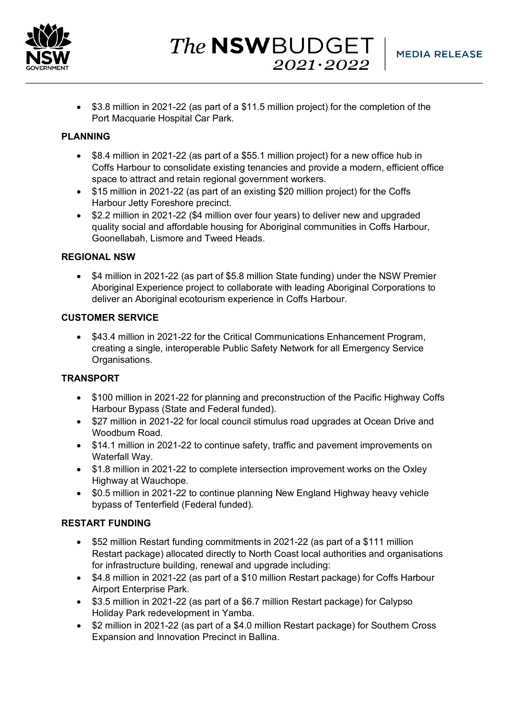

The **NSW**BUDGET  $2021 \cdot 2022$ 

• \$3.8 million in 2021-22 (as part of a \$11.5 million project) for the completion of the Port Macquarie Hospital Car Park.

## **PLANNING**

- \$8.4 million in 2021-22 (as part of a \$55.1 million project) for a new office hub in Coffs Harbour to consolidate existing tenancies and provide a modern, efficient office space to attract and retain regional government workers.
- \$15 million in 2021-22 (as part of an existing \$20 million project) for the Coffs Harbour Jetty Foreshore precinct.
- \$2.2 million in 2021-22 (\$4 million over four years) to deliver new and upgraded quality social and affordable housing for Aboriginal communities in Coffs Harbour, Goonellabah, Lismore and Tweed Heads.

# **REGIONAL NSW**

• \$4 million in 2021-22 (as part of \$5.8 million State funding) under the NSW Premier Aboriginal Experience project to collaborate with leading Aboriginal Corporations to deliver an Aboriginal ecotourism experience in Coffs Harbour.

## **CUSTOMER SERVICE**

• \$43.4 million in 2021-22 for the Critical Communications Enhancement Program, creating a single, interoperable Public Safety Network for all Emergency Service Organisations.

# **TRANSPORT**

- \$100 million in 2021-22 for planning and preconstruction of the Pacific Highway Coffs Harbour Bypass (State and Federal funded).
- \$27 million in 2021-22 for local council stimulus road upgrades at Ocean Drive and Woodburn Road.
- \$14.1 million in 2021-22 to continue safety, traffic and pavement improvements on Waterfall Way.
- \$1.8 million in 2021-22 to complete intersection improvement works on the Oxley Highway at Wauchope.
- \$0.5 million in 2021-22 to continue planning New England Highway heavy vehicle bypass of Tenterfield (Federal funded).

## **RESTART FUNDING**

- \$52 million Restart funding commitments in 2021-22 (as part of a \$111 million Restart package) allocated directly to North Coast local authorities and organisations for infrastructure building, renewal and upgrade including:
- \$4.8 million in 2021-22 (as part of a \$10 million Restart package) for Coffs Harbour Airport Enterprise Park.
- \$3.5 million in 2021-22 (as part of a \$6.7 million Restart package) for Calypso Holiday Park redevelopment in Yamba.
- \$2 million in 2021-22 (as part of a \$4.0 million Restart package) for Southern Cross Expansion and Innovation Precinct in Ballina.